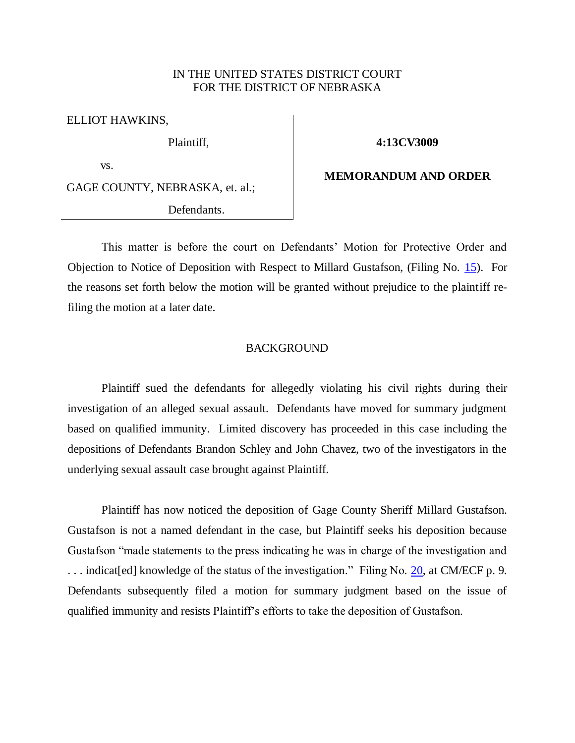## IN THE UNITED STATES DISTRICT COURT FOR THE DISTRICT OF NEBRASKA

ELLIOT HAWKINS,

Plaintiff,

**4:13CV3009**

vs.

GAGE COUNTY, NEBRASKA, et. al.;

Defendants.

## **MEMORANDUM AND ORDER**

This matter is before the court on Defendants' Motion for Protective Order and Objection to Notice of Deposition with Respect to Millard Gustafson, (Filing No. [15\)](https://ecf.ned.uscourts.gov/doc1/11312772267). For the reasons set forth below the motion will be granted without prejudice to the plaintiff refiling the motion at a later date.

## BACKGROUND

Plaintiff sued the defendants for allegedly violating his civil rights during their investigation of an alleged sexual assault. Defendants have moved for summary judgment based on qualified immunity. Limited discovery has proceeded in this case including the depositions of Defendants Brandon Schley and John Chavez, two of the investigators in the underlying sexual assault case brought against Plaintiff.

Plaintiff has now noticed the deposition of Gage County Sheriff Millard Gustafson. Gustafson is not a named defendant in the case, but Plaintiff seeks his deposition because Gustafson "made statements to the press indicating he was in charge of the investigation and ... indicat [ed] knowledge of the status of the investigation." Filing No. [20,](https://ecf.ned.uscourts.gov/doc1/11312772786) at CM/ECF p. 9. Defendants subsequently filed a motion for summary judgment based on the issue of qualified immunity and resists Plaintiff's efforts to take the deposition of Gustafson.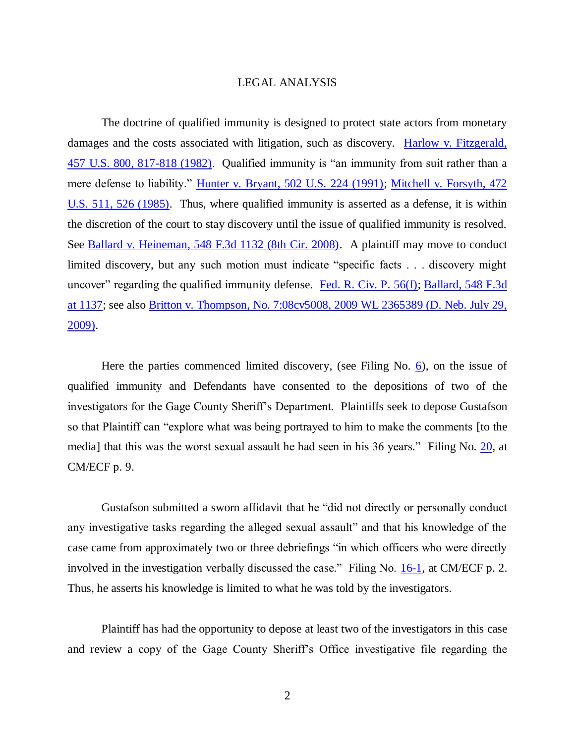## LEGAL ANALYSIS

The doctrine of qualified immunity is designed to protect state actors from monetary damages and the costs associated with litigation, such as discovery. [Harlow v. Fitzgerald,](http://westlaw.com/find/default.wl?ft=Y&referencepositiontype=S&rs=btil2.0&rp=%2ffind%2fdefault.wl&serialnum=1982128582&fn=_top&referenceposition=817&findtype=Y&vr=2.0&db=0000780&wbtoolsId=1982128582&HistoryType=F)  [457 U.S. 800, 817-818 \(1982\).](http://westlaw.com/find/default.wl?ft=Y&referencepositiontype=S&rs=btil2.0&rp=%2ffind%2fdefault.wl&serialnum=1982128582&fn=_top&referenceposition=817&findtype=Y&vr=2.0&db=0000780&wbtoolsId=1982128582&HistoryType=F) Qualified immunity is "an immunity from suit rather than a mere defense to liability." [Hunter v. Bryant, 502 U.S. 224 \(1991\);](http://westlaw.com/find/default.wl?ft=Y&db=0000780&rs=btil2.0&rp=%2ffind%2fdefault.wl&serialnum=1991203355&fn=_top&findtype=Y&vr=2.0&wbtoolsId=1991203355&HistoryType=F) [Mitchell v. Forsyth, 472](http://westlaw.com/find/default.wl?ft=Y&referencepositiontype=S&rs=btil2.0&rp=%2ffind%2fdefault.wl&serialnum=1985131120&fn=_top&referenceposition=526&findtype=Y&vr=2.0&db=0000780&wbtoolsId=1985131120&HistoryType=F)  [U.S. 511, 526 \(1985\).](http://westlaw.com/find/default.wl?ft=Y&referencepositiontype=S&rs=btil2.0&rp=%2ffind%2fdefault.wl&serialnum=1985131120&fn=_top&referenceposition=526&findtype=Y&vr=2.0&db=0000780&wbtoolsId=1985131120&HistoryType=F) Thus, where qualified immunity is asserted as a defense, it is within the discretion of the court to stay discovery until the issue of qualified immunity is resolved. See [Ballard v. Heineman, 548 F.3d 1132 \(8th Cir. 2008\).](http://westlaw.com/find/default.wl?ft=Y&db=0000506&rs=btil2.0&rp=%2ffind%2fdefault.wl&serialnum=2017557570&fn=_top&findtype=Y&vr=2.0&wbtoolsId=2017557570&HistoryType=F) A plaintiff may move to conduct limited discovery, but any such motion must indicate "specific facts . . . discovery might uncover" regarding the qualified immunity defense. [Fed. R. Civ. P. 56\(f\);](http://westlaw.com/find/default.wl?ft=L&docname=USFRCPR56&rs=btil2.0&rp=%2ffind%2fdefault.wl&fn=_top&findtype=L&vr=2.0&db=1000600&wbtoolsId=USFRCPR56&HistoryType=F) [Ballard, 548 F.3d](http://westlaw.com/find/default.wl?ft=Y&db=0000506&rs=btil2.0&rp=%2ffind%2fdefault.wl&serialnum=2017557570&fn=_top&findtype=Y&vr=2.0&wbtoolsId=2017557570&HistoryType=F)  [at 1137;](http://westlaw.com/find/default.wl?ft=Y&db=0000506&rs=btil2.0&rp=%2ffind%2fdefault.wl&serialnum=2017557570&fn=_top&findtype=Y&vr=2.0&wbtoolsId=2017557570&HistoryType=F) see also [Britton v. Thompson, No. 7:08cv5008, 2009 WL 2365389 \(D. Neb. July 29,](http://westlaw.com/find/default.wl?ft=Y&db=0000999&rs=btil2.0&rp=%2ffind%2fdefault.wl&serialnum=2019524979&fn=_top&findtype=Y&vr=2.0&wbtoolsId=2019524979&HistoryType=F)  [2009\).](http://westlaw.com/find/default.wl?ft=Y&db=0000999&rs=btil2.0&rp=%2ffind%2fdefault.wl&serialnum=2019524979&fn=_top&findtype=Y&vr=2.0&wbtoolsId=2019524979&HistoryType=F)

Here the parties commenced limited discovery, (see Filing No. [6\)](https://ecf.ned.uscourts.gov/doc1/11312723106), on the issue of qualified immunity and Defendants have consented to the depositions of two of the investigators for the Gage County Sheriff's Department. Plaintiffs seek to depose Gustafson so that Plaintiff can "explore what was being portrayed to him to make the comments [to the media] that this was the worst sexual assault he had seen in his 36 years." Filing No. [20,](https://ecf.ned.uscourts.gov/doc1/11312772786) at CM/ECF p. 9.

Gustafson submitted a sworn affidavit that he "did not directly or personally conduct any investigative tasks regarding the alleged sexual assault" and that his knowledge of the case came from approximately two or three debriefings "in which officers who were directly involved in the investigation verbally discussed the case." Filing No. [16-1,](https://ecf.ned.uscourts.gov/doc1/11312772285) at CM/ECF p. 2. Thus, he asserts his knowledge is limited to what he was told by the investigators.

Plaintiff has had the opportunity to depose at least two of the investigators in this case and review a copy of the Gage County Sheriff's Office investigative file regarding the